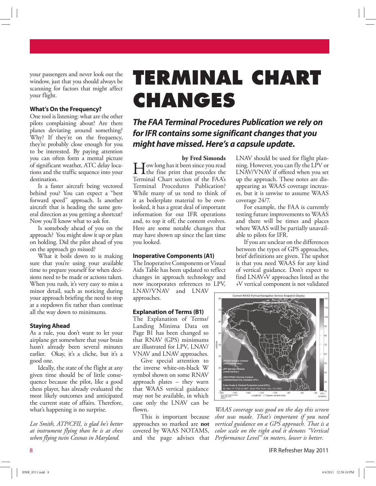your passengers and never look out the window, just that you should always be scanning for factors that might affect your flight.

### **What's On the Frequency?**

One tool is listening: what are the other pilots complaining about? Are there planes deviating around something? Why? If they're on the frequency, they're probably close enough for you to be interested. By paying attention you can often form a mental picture of significant weather, ATC delay locations and the traffic sequence into your destination.

Is a faster aircraft being vectored behind you? You can expect a "best forward speed" approach. Is another aircraft that is heading the same general direction as you getting a shortcut? Now you'll know what to ask for.

Is somebody ahead of you on the approach? You might slow it up or plan on holding. Did the pilot ahead of you on the approach go missed?

What it boils down to is making sure that you're using your available time to prepare yourself for when decisions need to be made or actions taken. When you rush, it's very easy to miss a minor detail, such as noticing during your approach briefing the need to stop at a stepdown fix rather than continue all the way down to minimums.

#### **Staying Ahead**

As a rule, you don't want to let your airplane get somewhere that your brain hasn't already been several minutes earlier. Okay, it's a cliche, but it's a good one.

Ideally, the state of the flight at any given time should be of little consequence because the pilot, like a good chess player, has already evaluated the most likely outcomes and anticipated the current state of affairs. Therefore, what's happening is no surprise.

*Lee Smith, ATP/CFII, is glad he's better at instrument flying than he is at chess when flying twin Cessnas in Maryland.* 

# **TERMINAL CHART CHANGES**

# **The FAA Terminal Procedures Publication we rely on for IFR contains some significant changes that you might have missed. Here's a capsule update.**

**by Fred Simonds**

I ow long has it been since you read<br>the fine print that precedes the<br>Tampinal Characteristics of the FAA: the fine print that precedes the Terminal Chart section of the FAA's Terminal Procedures Publication? While many of us tend to think of it as boilerplate material to be overlooked, it has a great deal of important information for our IFR operations and, to top it off, the content evolves. Here are some notable changes that may have shown up since the last time you looked.

## **Inoperative Components (A1)**

The Inoperative Components or Visual Aids Table has been updated to reflect changes in approach technology and now incorporates references to LPV, LNAV/VNAV and LNAV approaches.

#### **Explanation of Terms (B1)**

The Explanation of Terms/ Landing Minima Data on Page B1 has been changed so that RNAV (GPS) minimums are illustrated for LPV, LNAV/ VNAV and LNAV approaches.

Give special attention to the inverse white-on-black W symbol shown on some RNAV approach plates – they warn that WAAS vertical guidance may not be available, in which case only the LNAV can be flown.

This is important because approaches so marked are **not**  covered by WAAS NOTAMS, and the page advises that

LNAV should be used for flight planning. However, you can fly the LPV or LNAV/VNAV if offered when you set up the approach. These notes are disappearing as WAAS coverage increases, but it is unwise to assume WAAS coverage 24/7.

For example, the FAA is currently testing future improvements to WAAS and there will be times and places where WAAS will be partially unavailable to pilots for IFR.

If you are unclear on the differences between the types of GPS approaches, brief definitions are given. The upshot is that you need WAAS for any kind of vertical guidance. Don't expect to find LNAV+V approaches listed as the +V vertical component is not validated



*WAAS coverage was good on the day this screen shot was made. That's important if you need vertical guidance on a GPS approach. That is a color scale on the right and it denotes "Vertical Performance Level" in meters, lower is better.* 

8 IFR Refresher May 2011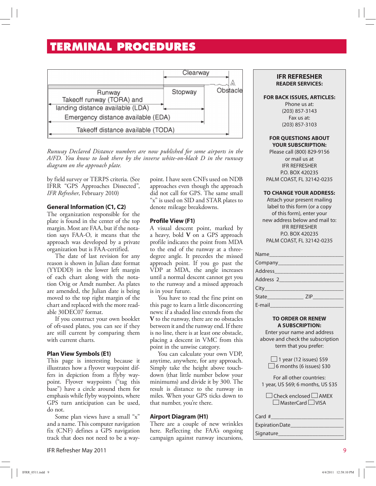# **TERMINAL PROCEDURES**



*Runway Declared Distance numbers are now published for some airports in the A/FD. You know to look there by the inverse white-on-black D in the runway diagram on the approach plate.*

by field survey or TERPS criteria. (See IFRR "GPS Approaches Dissected", *IFR Refresher*, February 2010)

# **General Information (C1, C2)**

The organization responsible for the plate is found in the center of the top margin. Most are FAA, but if the notation says FAA-O, it means that the approach was developed by a private organization but is FAA-certified.

The date of last revision for any reason is shown in Julian date format (YYDDD) in the lower left margin of each chart along with the notation Orig or Amdt number. As plates are amended, the Julian date is being moved to the top right margin of the chart and replaced with the more readable 30DEC07 format.

If you construct your own booklet of oft-used plates, you can see if they are still current by comparing them with current charts.

# **Plan View Symbols (E1)**

This page is interesting because it illustrates how a flyover waypoint differs in depiction from a flyby waypoint. Flyover waypoints ("tag this base") have a circle around them for emphasis while flyby waypoints, where GPS turn anticipation can be used, do not.

Some plan views have a small "x" and a name. This computer navigation fix (CNF) defines a GPS navigation track that does not need to be a waypoint. I have seen CNFs used on NDB approaches even though the approach did not call for GPS. The same small "x" is used on SID and STAR plates to denote mileage breakdowns.

# **Profile View (F1)**

A visual descent point, marked by a heavy, bold **V** on a GPS approach profile indicates the point from MDA to the end of the runway at a threedegree angle. It precedes the missed approach point. If you go past the VDP at MDA, the angle increases until a normal descent cannot get you to the runway and a missed approach is in your future.

You have to read the fine print on this page to learn a little disconcerting news: if a shaded line extends from the **V** to the runway, there are no obstacles between it and the runway end. If there is no line, there is at least one obstacle, placing a descent in VMC from this point in the unwise category.

You can calculate your own VDP, anytime, anywhere, for any approach. Simply take the height above touchdown (that little number below your minimums) and divide it by 300. The result is distance to the runway in miles. When your GPS ticks down to that number, you're there.

# **Airport Diagram (H1)**

There are a couple of new wrinkles here. Reflecting the FAA's ongoing campaign against runway incursions,

## **IFR REFRESHER READER SERVICES:**

#### **FOR BACK ISSUES, ARTICLES:**

Phone us at: (203) 857-3143 Fax us at: (203) 857-3103

#### **FOR QUESTIONS ABOUT YOUR SUBSCRIPTION:**

Please call (800) 829-9156 or mail us at IFR REFRESHER P.O. BOX 420235 PALM COAST, FL 32142-0235

#### **TO CHANGE YOUR ADDRESS:**

Attach your present mailing label to this form (or a copy of this form), enter your new address below and mail to: IFR REFRESHER P.O. BOX 420235 PALM COAST, FL 32142-0235

| Address 2                                            |
|------------------------------------------------------|
|                                                      |
| State and the state of the state of the state<br>ZIP |
| E-mail                                               |

#### **TO ORDER OR RENEW A SUBSCRIPTION:**

Enter your name and address above and check the subscription term that you prefer:

 $\Box$  1 year (12 issues) \$59  $\Box$  6 months (6 issues) \$30

For all other countries: 1 year, US \$69; 6 months, US \$35

| $\Box$ Check enclosed $\Box$ AMEX |  |
|-----------------------------------|--|
| $\Box$ MasterCard $\Box$ VISA     |  |

Card # Expiration Date

Signature\_\_\_\_\_\_\_\_\_\_\_\_\_\_\_\_\_\_\_\_\_\_\_

IFR Refresher May 2011 9